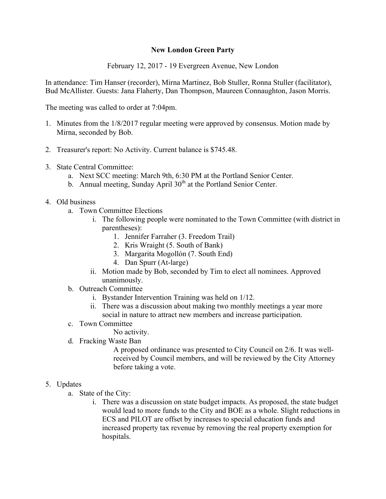## **New London Green Party**

February 12, 2017 - 19 Evergreen Avenue, New London

In attendance: Tim Hanser (recorder), Mirna Martinez, Bob Stuller, Ronna Stuller (facilitator), Bud McAllister. Guests: Jana Flaherty, Dan Thompson, Maureen Connaughton, Jason Morris.

The meeting was called to order at 7:04pm.

- 1. Minutes from the 1/8/2017 regular meeting were approved by consensus. Motion made by Mirna, seconded by Bob.
- 2. Treasurer's report: No Activity. Current balance is \$745.48.
- 3. State Central Committee:
	- a. Next SCC meeting: March 9th, 6:30 PM at the Portland Senior Center.
	- b. Annual meeting, Sunday April  $30<sup>th</sup>$  at the Portland Senior Center.
- 4. Old business
	- a. Town Committee Elections
		- i. The following people were nominated to the Town Committee (with district in parentheses):
			- 1. Jennifer Farraher (3. Freedom Trail)
			- 2. Kris Wraight (5. South of Bank)
			- 3. Margarita Mogollón (7. South End)
			- 4. Dan Spurr (At-large)
		- ii. Motion made by Bob, seconded by Tim to elect all nominees. Approved unanimously.
	- b. Outreach Committee
		- i. Bystander Intervention Training was held on 1/12.
		- ii. There was a discussion about making two monthly meetings a year more social in nature to attract new members and increase participation.
	- c. Town Committee
		- No activity.
	- d. Fracking Waste Ban

A proposed ordinance was presented to City Council on 2/6. It was wellreceived by Council members, and will be reviewed by the City Attorney before taking a vote.

## 5. Updates

- a. State of the City:
	- i. There was a discussion on state budget impacts. As proposed, the state budget would lead to more funds to the City and BOE as a whole. Slight reductions in ECS and PILOT are offset by increases to special education funds and increased property tax revenue by removing the real property exemption for hospitals.